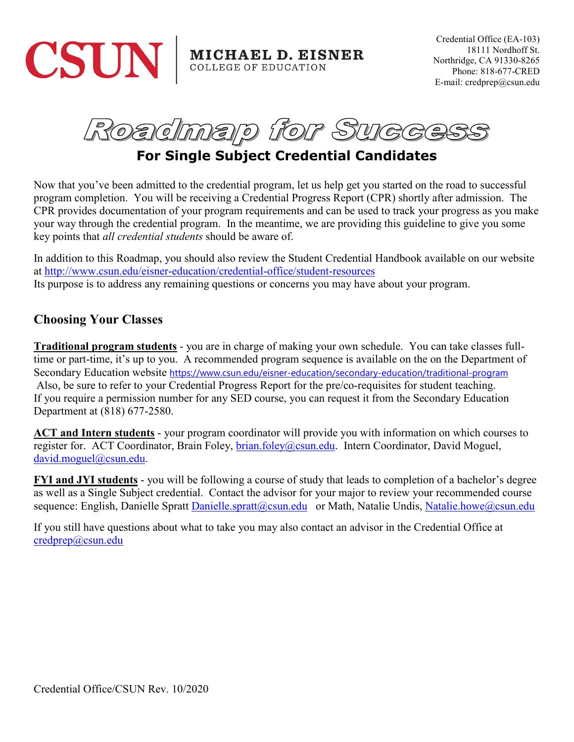



# **For Single Subject Credential Candidates**

Now that you've been admitted to the credential program, let us help get you started on the road to successful program completion. You will be receiving a Credential Progress Report (CPR) shortly after admission. The CPR provides documentation of your program requirements and can be used to track your progress as you make your way through the credential program. In the meantime, we are providing this guideline to give you some key points that *all credential students* should be aware of.

In addition to this Roadmap, you should also review the Student Credential Handbook available on our website at <http://www.csun.edu/eisner-education/credential-office/student-resources> Its purpose is to address any remaining questions or concerns you may have about your program.

#### **Choosing Your Classes**

**Traditional program students** - you are in charge of making your own schedule. You can take classes fulltime or part-time, it's up to you. A recommended program sequence is available on the on the Department of Secondary Education website <https://www.csun.edu/eisner-education/secondary-education/traditional-program> Also, be sure to refer to your Credential Progress Report for the pre/co-requisites for student teaching. If you require a permission number for any SED course, you can request it from the Secondary Education Department at (818) 677-2580.

**ACT and Intern students** - your program coordinator will provide you with information on which courses to register for. ACT Coordinator, Brain Foley, [brian.foley@csun.edu.](mailto:brian.foley@csun.edu) Intern Coordinator, David Moguel, [david.moguel@csun.edu.](mailto:david.moguel@csun.edu)

**FYI and JYI students** - you will be following a course of study that leads to completion of a bachelor's degree as well as a Single Subject credential. Contact the advisor for your major to review your recommended course sequence: English, Danielle Spratt [Danielle.spratt@csun.edu](mailto:Danielle.spratt@csun.edu) or Math, Natalie Undis, [Natalie.howe@csun.edu](mailto:Natalie.howe@csun.edu)

If you still have questions about what to take you may also contact an advisor in the Credential Office at [credprep@csun.edu](mailto:credprep@csun.edu)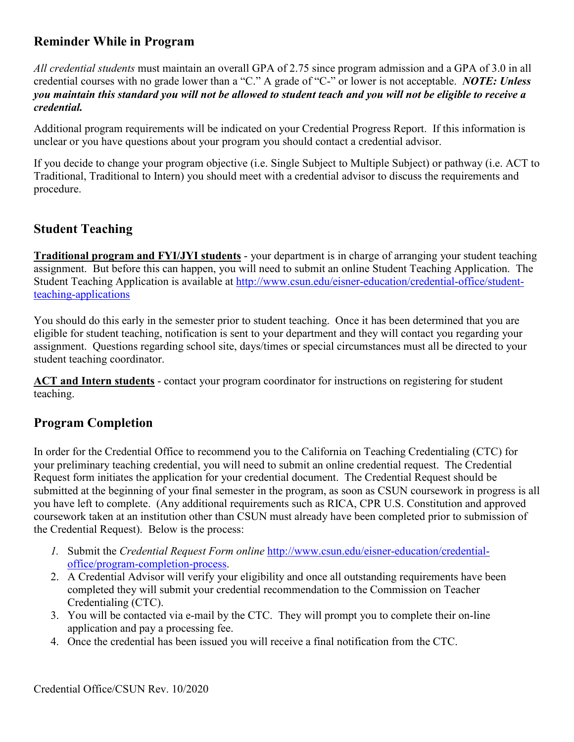# **Reminder While in Program**

*All credential students* must maintain an overall GPA of 2.75 since program admission and a GPA of 3.0 in all credential courses with no grade lower than a "C." A grade of "C-" or lower is not acceptable. *NOTE: Unless you maintain this standard you will not be allowed to student teach and you will not be eligible to receive a credential.*

Additional program requirements will be indicated on your Credential Progress Report. If this information is unclear or you have questions about your program you should contact a credential advisor.

If you decide to change your program objective (i.e. Single Subject to Multiple Subject) or pathway (i.e. ACT to Traditional, Traditional to Intern) you should meet with a credential advisor to discuss the requirements and procedure.

## **Student Teaching**

**Traditional program and FYI/JYI students** - your department is in charge of arranging your student teaching assignment. But before this can happen, you will need to submit an online Student Teaching Application. The Student Teaching Application is available at [http://www.csun.edu/eisner-education/credential-office/student](http://www.csun.edu/eisner-education/credential-office/student-teaching-applications)[teaching-applications](http://www.csun.edu/eisner-education/credential-office/student-teaching-applications)

You should do this early in the semester prior to student teaching. Once it has been determined that you are eligible for student teaching, notification is sent to your department and they will contact you regarding your assignment. Questions regarding school site, days/times or special circumstances must all be directed to your student teaching coordinator.

**ACT and Intern students** - contact your program coordinator for instructions on registering for student teaching.

#### **Program Completion**

In order for the Credential Office to recommend you to the California on Teaching Credentialing (CTC) for your preliminary teaching credential, you will need to submit an online credential request. The Credential Request form initiates the application for your credential document. The Credential Request should be submitted at the beginning of your final semester in the program, as soon as CSUN coursework in progress is all you have left to complete. (Any additional requirements such as RICA, CPR U.S. Constitution and approved coursework taken at an institution other than CSUN must already have been completed prior to submission of the Credential Request). Below is the process:

- *1.* Submit the *Credential Request Form online* [http://www.csun.edu/eisner-education/credential](http://www.csun.edu/eisner-education/credential-office/program-completion-process)[office/program-completion-process.](http://www.csun.edu/eisner-education/credential-office/program-completion-process)
- 2. A Credential Advisor will verify your eligibility and once all outstanding requirements have been completed they will submit your credential recommendation to the Commission on Teacher Credentialing (CTC).
- 3. You will be contacted via e-mail by the CTC. They will prompt you to complete their on-line application and pay a processing fee.
- 4. Once the credential has been issued you will receive a final notification from the CTC.